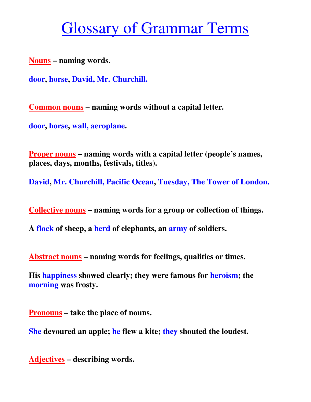## Glossary of Grammar Terms

**Nouns – naming words.** 

**door, horse, David, Mr. Churchill.**

**Common nouns – naming words without a capital letter.** 

**door, horse, wall, aeroplane.** 

**Proper nouns – naming words with a capital letter (people's names, places, days, months, festivals, titles).** 

**David, Mr. Churchill, Pacific Ocean, Tuesday, The Tower of London.**

**Collective nouns – naming words for a group or collection of things.** 

**A flock of sheep, a herd of elephants, an army of soldiers.** 

**Abstract nouns – naming words for feelings, qualities or times.** 

**His happiness showed clearly; they were famous for heroism; the morning was frosty.** 

**Pronouns – take the place of nouns.** 

**She devoured an apple; he flew a kite; they shouted the loudest.** 

**Adjectives – describing words.**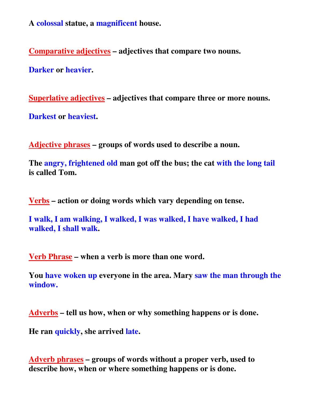**A colossal statue, a magnificent house.** 

**Comparative adjectives – adjectives that compare two nouns.** 

**Darker or heavier.** 

**Superlative adjectives – adjectives that compare three or more nouns.** 

**Darkest or heaviest.** 

**Adjective phrases – groups of words used to describe a noun.** 

**The angry, frightened old man got off the bus; the cat with the long tail is called Tom.** 

**Verbs – action or doing words which vary depending on tense.** 

**I walk, I am walking, I walked, I was walked, I have walked, I had walked, I shall walk.** 

**Verb Phrase – when a verb is more than one word.** 

**You have woken up everyone in the area. Mary saw the man through the window.**

**Adverbs – tell us how, when or why something happens or is done.** 

**He ran quickly, she arrived late.** 

**Adverb phrases – groups of words without a proper verb, used to describe how, when or where something happens or is done.**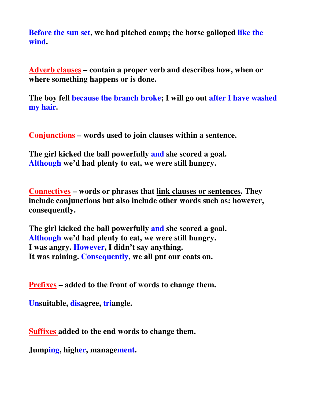**Before the sun set, we had pitched camp; the horse galloped like the wind.**

**Adverb clauses – contain a proper verb and describes how, when or where something happens or is done.** 

**The boy fell because the branch broke; I will go out after I have washed my hair.** 

**Conjunctions – words used to join clauses within a sentence.** 

**The girl kicked the ball powerfully and she scored a goal. Although we'd had plenty to eat, we were still hungry.** 

**Connectives – words or phrases that link clauses or sentences. They include conjunctions but also include other words such as: however, consequently.** 

**The girl kicked the ball powerfully and she scored a goal. Although we'd had plenty to eat, we were still hungry. I was angry. However, I didn't say anything. It was raining. Consequently, we all put our coats on.** 

**Prefixes – added to the front of words to change them.** 

**Unsuitable, disagree, triangle.** 

**Suffixes added to the end words to change them.** 

**Jumping, higher, management.**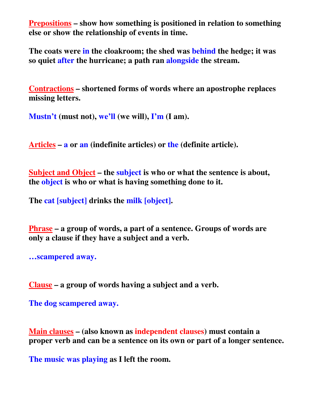**Prepositions – show how something is positioned in relation to something else or show the relationship of events in time.** 

**The coats were in the cloakroom; the shed was behind the hedge; it was so quiet after the hurricane; a path ran alongside the stream.** 

**Contractions – shortened forms of words where an apostrophe replaces missing letters.** 

**Mustn't (must not), we'll (we will), I'm (I am).** 

**Articles – a or an (indefinite articles) or the (definite article).** 

**Subject and Object – the subject is who or what the sentence is about, the object is who or what is having something done to it.** 

**The cat [subject] drinks the milk [object].** 

**Phrase – a group of words, a part of a sentence. Groups of words are only a clause if they have a subject and a verb.** 

**…scampered away.** 

**Clause – a group of words having a subject and a verb.** 

**The dog scampered away.** 

**Main clauses – (also known as independent clauses) must contain a proper verb and can be a sentence on its own or part of a longer sentence.** 

**The music was playing as I left the room.**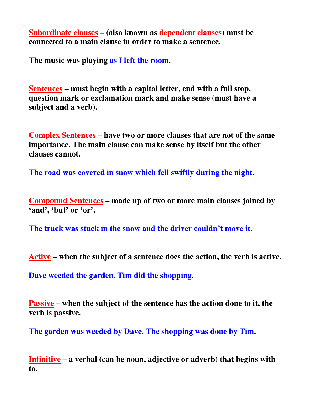**Subordinate clauses – (also known as dependent clauses) must be connected to a main clause in order to make a sentence.** 

**The music was playing as I left the room.** 

**Sentences – must begin with a capital letter, end with a full stop, question mark or exclamation mark and make sense (must have a subject and a verb).** 

**Complex Sentences – have two or more clauses that are not of the same importance. The main clause can make sense by itself but the other clauses cannot.** 

**The road was covered in snow which fell swiftly during the night.** 

**Compound Sentences – made up of two or more main clauses joined by 'and', 'but' or 'or'.** 

**The truck was stuck in the snow and the driver couldn't move it.**

**Active – when the subject of a sentence does the action, the verb is active.** 

**Dave weeded the garden. Tim did the shopping.** 

**Passive – when the subject of the sentence has the action done to it, the verb is passive.** 

**The garden was weeded by Dave. The shopping was done by Tim.**

**Infinitive – a verbal (can be noun, adjective or adverb) that begins with to.**